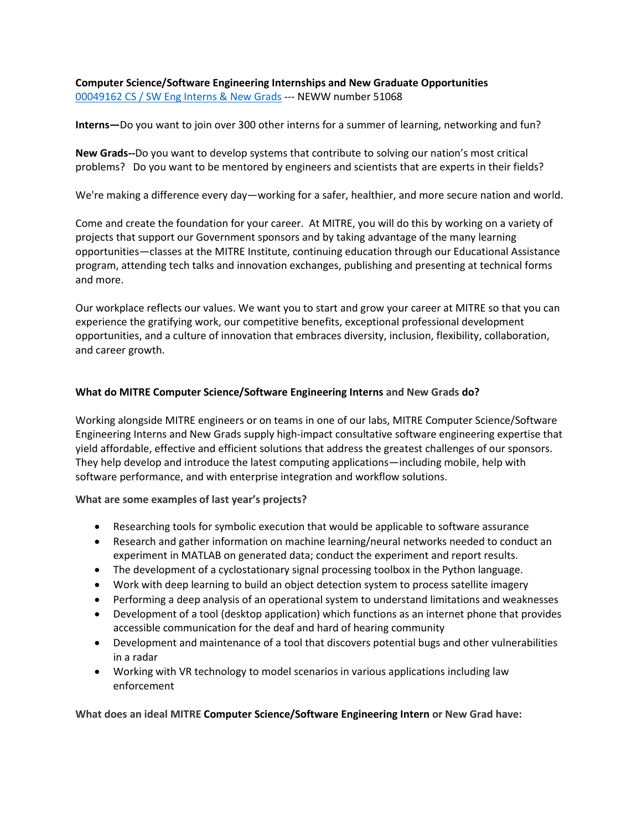**Computer Science/Software Engineering Internships and New Graduate Opportunities** [00049162 CS / SW Eng Interns & New Grads](https://mitre.referrals.selectminds.com/jobs/computer-science-software-engineering-intern-new-grads-2178) --- NEWW number 51068

**Interns—**Do you want to join over 300 other interns for a summer of learning, networking and fun?

**New Grads--**Do you want to develop systems that contribute to solving our nation's most critical problems? Do you want to be mentored by engineers and scientists that are experts in their fields?

We're making a difference every day—working for a safer, healthier, and more secure nation and world.

Come and create the foundation for your career. At MITRE, you will do this by working on a variety of projects that support our Government sponsors and by taking advantage of the many learning opportunities—classes at the MITRE Institute, continuing education through our Educational Assistance program, attending tech talks and innovation exchanges, publishing and presenting at technical forms and more.

Our workplace reflects our values. We want you to start and grow your career at MITRE so that you can experience the gratifying work, our competitive benefits, exceptional professional development opportunities, and a culture of innovation that embraces diversity, inclusion, flexibility, collaboration, and career growth.

## **What do MITRE Computer Science/Software Engineering Interns and New Grads do?**

Working alongside MITRE engineers or on teams in one of our labs, MITRE Computer Science/Software Engineering Interns and New Grads supply high-impact consultative software engineering expertise that yield affordable, effective and efficient solutions that address the greatest challenges of our sponsors. They help develop and introduce the latest computing applications—including mobile, help with software performance, and with enterprise integration and workflow solutions.

**What are some examples of last year's projects?**

- Researching tools for symbolic execution that would be applicable to software assurance
- Research and gather information on machine learning/neural networks needed to conduct an experiment in MATLAB on generated data; conduct the experiment and report results.
- The development of a cyclostationary signal processing toolbox in the Python language.
- Work with deep learning to build an object detection system to process satellite imagery
- Performing a deep analysis of an operational system to understand limitations and weaknesses
- Development of a tool (desktop application) which functions as an internet phone that provides accessible communication for the deaf and hard of hearing community
- Development and maintenance of a tool that discovers potential bugs and other vulnerabilities in a radar
- Working with VR technology to model scenarios in various applications including law enforcement

**What does an ideal MITRE Computer Science/Software Engineering Intern or New Grad have:**